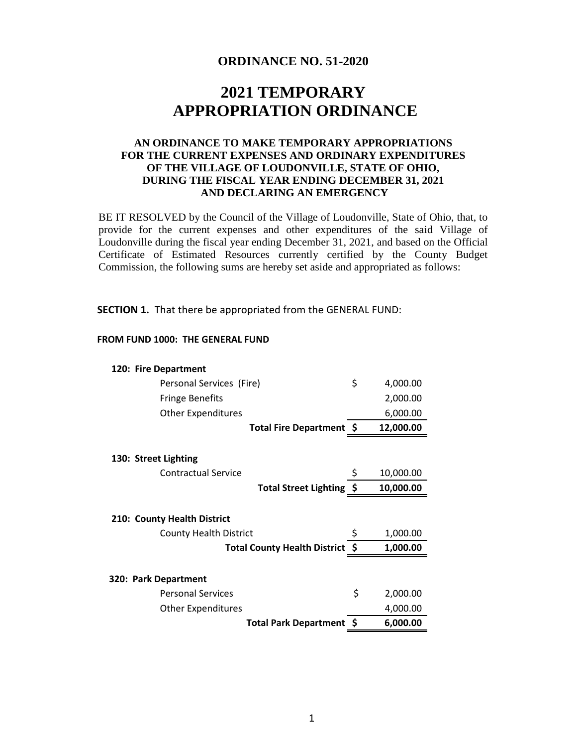## **ORDINANCE NO. 51-2020**

# **2021 TEMPORARY APPROPRIATION ORDINANCE**

## **AN ORDINANCE TO MAKE TEMPORARY APPROPRIATIONS FOR THE CURRENT EXPENSES AND ORDINARY EXPENDITURES OF THE VILLAGE OF LOUDONVILLE, STATE OF OHIO, DURING THE FISCAL YEAR ENDING DECEMBER 31, 2021 AND DECLARING AN EMERGENCY**

BE IT RESOLVED by the Council of the Village of Loudonville, State of Ohio, that, to provide for the current expenses and other expenditures of the said Village of Loudonville during the fiscal year ending December 31, 2021, and based on the Official Certificate of Estimated Resources currently certified by the County Budget Commission, the following sums are hereby set aside and appropriated as follows:

**SECTION 1.** That there be appropriated from the GENERAL FUND:

#### **FROM FUND 1000: THE GENERAL FUND**

| 120: Fire Department            |                |
|---------------------------------|----------------|
| Personal Services (Fire)        | \$<br>4,000.00 |
| <b>Fringe Benefits</b>          | 2,000.00       |
| <b>Other Expenditures</b>       | 6,000.00       |
| Total Fire Department \$        | 12,000.00      |
|                                 |                |
| 130: Street Lighting            |                |
| Contractual Service             | 10,000.00      |
| Total Street Lighting \$        | 10,000.00      |
|                                 |                |
|                                 |                |
| 210: County Health District     |                |
| <b>County Health District</b>   | \$<br>1,000.00 |
| Total County Health District \$ | 1,000.00       |
|                                 |                |
| 320: Park Department            |                |
| <b>Personal Services</b>        | \$<br>2,000.00 |
| <b>Other Expenditures</b>       | 4,000.00       |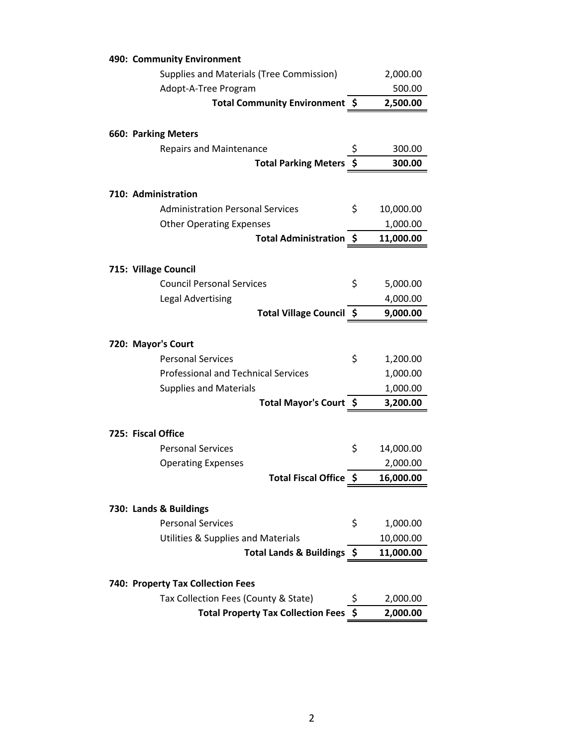| Supplies and Materials (Tree Commission)<br>2,000.00<br>Adopt-A-Tree Program<br>500.00<br>Total Community Environment \$<br>2,500.00<br><b>660: Parking Meters</b><br><b>Repairs and Maintenance</b><br>\$<br>300.00<br>\$<br><b>Total Parking Meters</b><br>300.00<br>710: Administration<br>\$<br><b>Administration Personal Services</b><br>10,000.00<br><b>Other Operating Expenses</b><br>1,000.00<br>Total Administration \$<br>11,000.00 |
|-------------------------------------------------------------------------------------------------------------------------------------------------------------------------------------------------------------------------------------------------------------------------------------------------------------------------------------------------------------------------------------------------------------------------------------------------|
|                                                                                                                                                                                                                                                                                                                                                                                                                                                 |
|                                                                                                                                                                                                                                                                                                                                                                                                                                                 |
|                                                                                                                                                                                                                                                                                                                                                                                                                                                 |
|                                                                                                                                                                                                                                                                                                                                                                                                                                                 |
|                                                                                                                                                                                                                                                                                                                                                                                                                                                 |
|                                                                                                                                                                                                                                                                                                                                                                                                                                                 |
|                                                                                                                                                                                                                                                                                                                                                                                                                                                 |
|                                                                                                                                                                                                                                                                                                                                                                                                                                                 |
|                                                                                                                                                                                                                                                                                                                                                                                                                                                 |
|                                                                                                                                                                                                                                                                                                                                                                                                                                                 |
|                                                                                                                                                                                                                                                                                                                                                                                                                                                 |
|                                                                                                                                                                                                                                                                                                                                                                                                                                                 |
|                                                                                                                                                                                                                                                                                                                                                                                                                                                 |
| 715: Village Council                                                                                                                                                                                                                                                                                                                                                                                                                            |
| \$<br><b>Council Personal Services</b><br>5,000.00                                                                                                                                                                                                                                                                                                                                                                                              |
| 4,000.00<br><b>Legal Advertising</b>                                                                                                                                                                                                                                                                                                                                                                                                            |
| Total Village Council \$<br>9,000.00                                                                                                                                                                                                                                                                                                                                                                                                            |
| 720: Mayor's Court                                                                                                                                                                                                                                                                                                                                                                                                                              |
| \$<br><b>Personal Services</b><br>1,200.00                                                                                                                                                                                                                                                                                                                                                                                                      |
| <b>Professional and Technical Services</b><br>1,000.00                                                                                                                                                                                                                                                                                                                                                                                          |
| <b>Supplies and Materials</b><br>1,000.00                                                                                                                                                                                                                                                                                                                                                                                                       |
| Total Mayor's Court \$<br>3,200.00                                                                                                                                                                                                                                                                                                                                                                                                              |
|                                                                                                                                                                                                                                                                                                                                                                                                                                                 |
| 725: Fiscal Office                                                                                                                                                                                                                                                                                                                                                                                                                              |
| \$<br>14,000.00<br><b>Personal Services</b>                                                                                                                                                                                                                                                                                                                                                                                                     |
| 2,000.00<br><b>Operating Expenses</b>                                                                                                                                                                                                                                                                                                                                                                                                           |
| Total Fiscal Office \$<br>16,000.00                                                                                                                                                                                                                                                                                                                                                                                                             |
|                                                                                                                                                                                                                                                                                                                                                                                                                                                 |
| 730: Lands & Buildings                                                                                                                                                                                                                                                                                                                                                                                                                          |
| <b>Personal Services</b><br>\$<br>1,000.00                                                                                                                                                                                                                                                                                                                                                                                                      |
| <b>Utilities &amp; Supplies and Materials</b><br>10,000.00                                                                                                                                                                                                                                                                                                                                                                                      |
| Total Lands & Buildings \$<br>11,000.00                                                                                                                                                                                                                                                                                                                                                                                                         |
|                                                                                                                                                                                                                                                                                                                                                                                                                                                 |
| 740: Property Tax Collection Fees                                                                                                                                                                                                                                                                                                                                                                                                               |
|                                                                                                                                                                                                                                                                                                                                                                                                                                                 |
| Tax Collection Fees (County & State)<br>\$<br>2,000.00                                                                                                                                                                                                                                                                                                                                                                                          |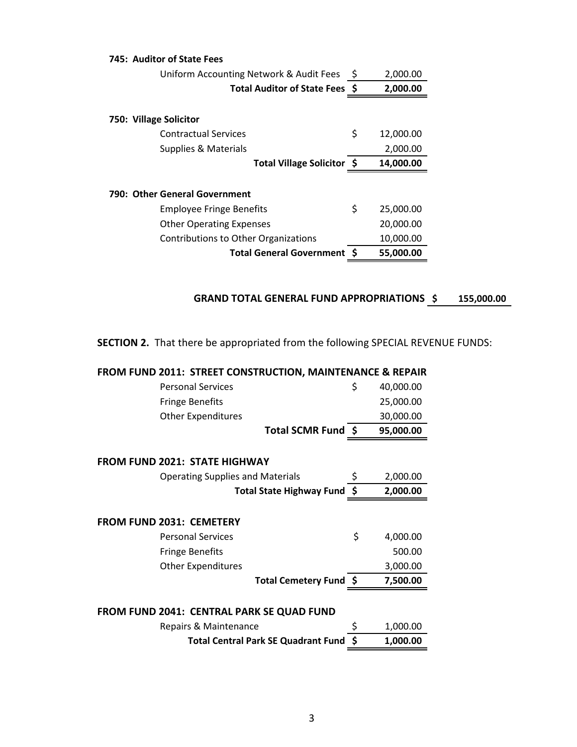| 745: Auditor of State Fees              |    |           |
|-----------------------------------------|----|-----------|
| Uniform Accounting Network & Audit Fees | Ş  | 2,000.00  |
| Total Auditor of State Fees \$          |    | 2,000.00  |
| 750: Village Solicitor                  |    |           |
| <b>Contractual Services</b>             | \$ | 12,000.00 |
| Supplies & Materials                    |    | 2,000.00  |
| Total Village Solicitor \$              |    | 14,000.00 |
| 790: Other General Government           |    |           |
| <b>Employee Fringe Benefits</b>         | \$ | 25,000.00 |
| <b>Other Operating Expenses</b>         |    | 20,000.00 |
| Contributions to Other Organizations    |    | 10,000.00 |
| <b>Total General Government S</b>       |    | 55,000.00 |

## GRAND TOTAL GENERAL FUND APPROPRIATIONS \$155,000.00

**SECTION 2.** That there be appropriated from the following SPECIAL REVENUE FUNDS:

| FROM FUND 2011: STREET CONSTRUCTION, MAINTENANCE & REPAIR |    |           |  |  |  |
|-----------------------------------------------------------|----|-----------|--|--|--|
| <b>Personal Services</b>                                  | \$ | 40,000.00 |  |  |  |
| <b>Fringe Benefits</b>                                    |    | 25,000.00 |  |  |  |
| <b>Other Expenditures</b>                                 |    | 30,000.00 |  |  |  |
| Total SCMR Fund \$                                        |    | 95,000.00 |  |  |  |
| <b>FROM FUND 2021: STATE HIGHWAY</b>                      |    |           |  |  |  |
| <b>Operating Supplies and Materials</b>                   | \$ | 2,000.00  |  |  |  |
| Total State Highway Fund \$                               |    | 2,000.00  |  |  |  |
| <b>FROM FUND 2031: CEMETERY</b>                           |    |           |  |  |  |
| <b>Personal Services</b>                                  | \$ | 4,000.00  |  |  |  |
| <b>Fringe Benefits</b>                                    |    | 500.00    |  |  |  |
| <b>Other Expenditures</b>                                 |    | 3,000.00  |  |  |  |
| Total Cemetery Fund \$                                    |    | 7,500.00  |  |  |  |
| FROM FUND 2041: CENTRAL PARK SE QUAD FUND                 |    |           |  |  |  |
| Repairs & Maintenance                                     | \$ | 1,000.00  |  |  |  |
| <b>Total Central Park SE Quadrant Fund</b>                |    | 1,000.00  |  |  |  |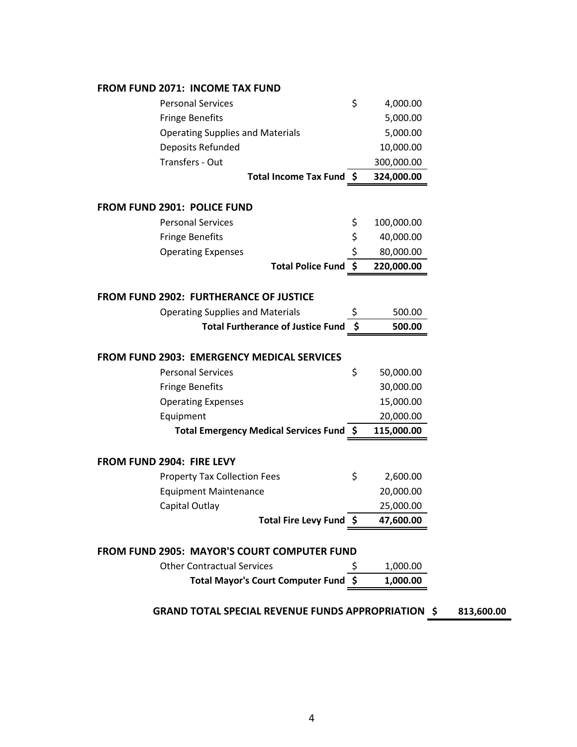## **FROM FUND 2071: INCOME TAX FUND**

| <b>Personal Services</b>                           | \$  | 4,000.00   |  |
|----------------------------------------------------|-----|------------|--|
| <b>Fringe Benefits</b>                             |     | 5,000.00   |  |
| <b>Operating Supplies and Materials</b>            |     | 5,000.00   |  |
| Deposits Refunded                                  |     | 10,000.00  |  |
| Transfers - Out                                    |     | 300,000.00 |  |
| Total Income Tax Fund \$                           |     | 324,000.00 |  |
|                                                    |     |            |  |
| FROM FUND 2901: POLICE FUND                        |     |            |  |
| <b>Personal Services</b>                           | \$  | 100,000.00 |  |
| <b>Fringe Benefits</b>                             | \$  | 40,000.00  |  |
| <b>Operating Expenses</b>                          | \$  | 80,000.00  |  |
| <b>Total Police Fund</b>                           | \$  | 220,000.00 |  |
|                                                    |     |            |  |
| <b>FROM FUND 2902: FURTHERANCE OF JUSTICE</b>      |     |            |  |
| <b>Operating Supplies and Materials</b>            | \$  | 500.00     |  |
| <b>Total Furtherance of Justice Fund</b>           | -\$ | 500.00     |  |
|                                                    |     |            |  |
| <b>FROM FUND 2903: EMERGENCY MEDICAL SERVICES</b>  |     |            |  |
|                                                    |     |            |  |
| <b>Personal Services</b>                           | \$  | 50,000.00  |  |
| <b>Fringe Benefits</b>                             |     | 30,000.00  |  |
| <b>Operating Expenses</b>                          |     | 15,000.00  |  |
| Equipment                                          |     | 20,000.00  |  |
| Total Emergency Medical Services Fund \$           |     | 115,000.00 |  |
|                                                    |     |            |  |
| FROM FUND 2904: FIRE LEVY                          |     |            |  |
| <b>Property Tax Collection Fees</b>                | \$  | 2,600.00   |  |
| <b>Equipment Maintenance</b>                       |     | 20,000.00  |  |
| Capital Outlay                                     |     | 25,000.00  |  |
| Total Fire Levy Fund $\sin 47,600.00$              |     |            |  |
|                                                    |     |            |  |
| <b>FROM FUND 2905: MAYOR'S COURT COMPUTER FUND</b> |     |            |  |
| <b>Other Contractual Services</b>                  |     | 1,000.00   |  |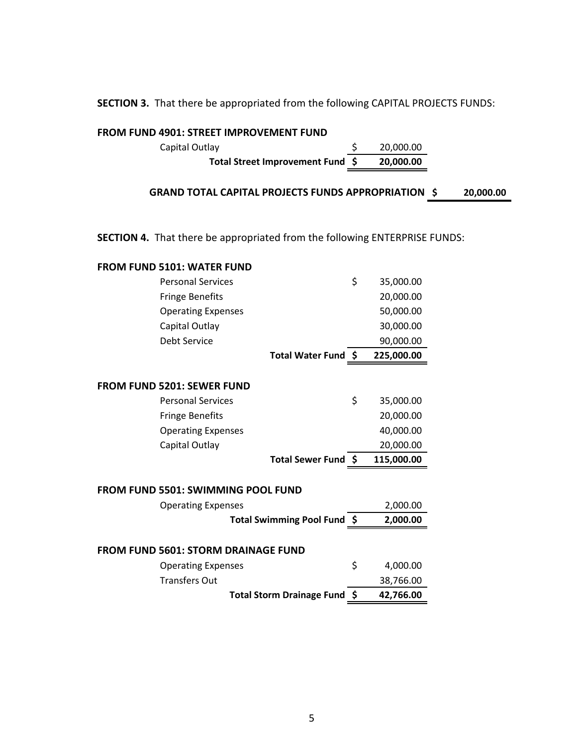**SECTION 3.** That there be appropriated from the following CAPITAL PROJECTS FUNDS:

Capital Outlay \$ 20,000.00

**FROM FUND 4901: STREET IMPROVEMENT FUND**

| Total Street Improvement Fund \$                                                  | 20,000.00       |           |
|-----------------------------------------------------------------------------------|-----------------|-----------|
| <b>GRAND TOTAL CAPITAL PROJECTS FUNDS APPROPRIATION \$</b>                        |                 | 20,000.00 |
|                                                                                   |                 |           |
|                                                                                   |                 |           |
| <b>SECTION 4.</b> That there be appropriated from the following ENTERPRISE FUNDS: |                 |           |
| <b>FROM FUND 5101: WATER FUND</b>                                                 |                 |           |
| <b>Personal Services</b>                                                          | \$<br>35,000.00 |           |
| <b>Fringe Benefits</b>                                                            | 20,000.00       |           |
| <b>Operating Expenses</b>                                                         | 50,000.00       |           |
| Capital Outlay                                                                    | 30,000.00       |           |
| Debt Service                                                                      | 90,000.00       |           |
| Total Water Fund \$                                                               | 225,000.00      |           |
|                                                                                   |                 |           |
| FROM FUND 5201: SEWER FUND                                                        |                 |           |
| <b>Personal Services</b>                                                          | \$<br>35,000.00 |           |
| <b>Fringe Benefits</b>                                                            | 20,000.00       |           |
| <b>Operating Expenses</b>                                                         | 40,000.00       |           |
| Capital Outlay                                                                    | 20,000.00       |           |
| Total Sewer Fund \$                                                               | 115,000.00      |           |
|                                                                                   |                 |           |
| <b>FROM FUND 5501: SWIMMING POOL FUND</b>                                         |                 |           |
| <b>Operating Expenses</b>                                                         | 2,000.00        |           |
| Total Swimming Pool Fund \$                                                       | 2,000.00        |           |
|                                                                                   |                 |           |
| <b>FROM FUND 5601: STORM DRAINAGE FUND</b>                                        |                 |           |
| <b>Operating Expenses</b>                                                         | \$<br>4,000.00  |           |
| <b>Transfers Out</b>                                                              | 38,766.00       |           |
| Total Storm Drainage Fund \$                                                      | 42,766.00       |           |